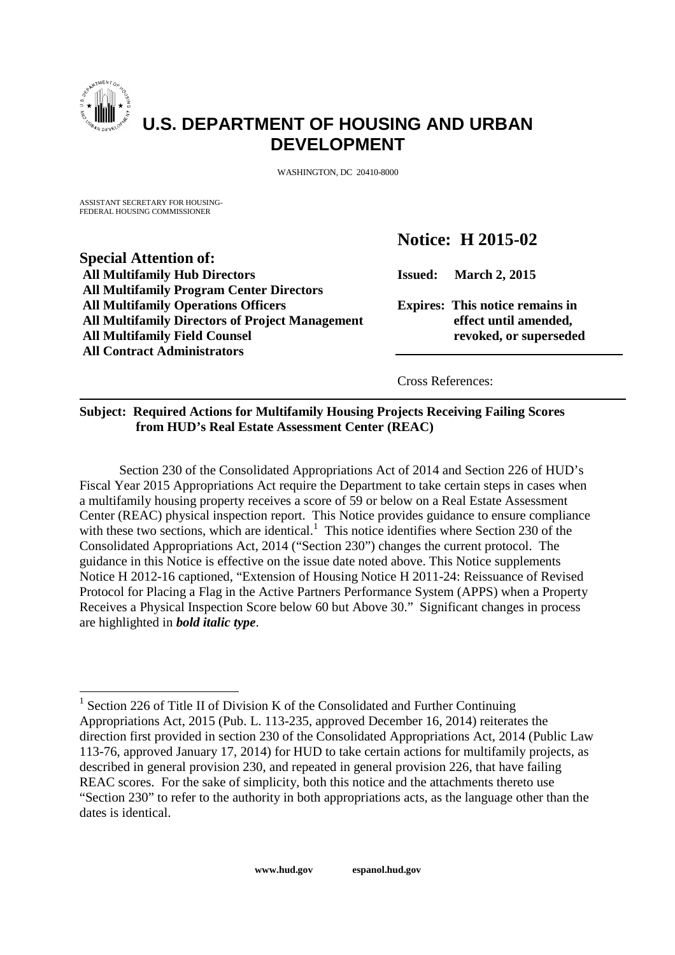

# **U.S. DEPARTMENT OF HOUSING AND URBAN DEVELOPMENT**

WASHINGTON, DC 20410-8000

ASSISTANT SECRETARY FOR HOUSING-FEDER AL HOUSING COMMISSIONER

**Special Attention of:**

**All Contract Administrators**

**All Multifamily Program Center Directors**

# **Notice: H 2015-02**

**All Multifamily Hub Directors Issued: March 2, 2015**

**All Multifamily Operations Officers Expires: This notice remains in All Multifamily Directors of Project Management effect until amended, All Multifamily Field Counsel revoked, or superseded**

Cross References:

# **Subject: Required Actions for Multifamily Housing Projects Receiving Failing Scores from HUD's Real Estate Assessment Center (REAC)**

Section 230 of the Consolidated Appropriations Act of 2014 and Section 226 of HUD's Fiscal Year 2015 Appropriations Act require the Department to take certain steps in cases when a multifamily housing property receives a score of 59 or below on a Real Estate Assessment Center (REAC) physical inspection report. This Notice provides guidance to ensure compliance with these two sections, which are identical.<sup>1</sup> This notice identifies where Section 230 of the Consolidated Appropriations Act, 2014 ("Section 230") changes the current protocol. The guidance in this Notice is effective on the issue date noted above. This Notice supplements Notice H 2012-16 captioned, "Extension of Housing Notice H 2011-24: Reissuance of Revised Protocol for Placing a Flag in the Active Partners Performance System (APPS) when a Property Receives a Physical Inspection Score below 60 but Above 30." Significant changes in process are highlighted in *bold italic type*.

<sup>&</sup>lt;sup>1</sup> Section 226 of Title II of Division K of the Consolidated and Further Continuing Appropriations Act, 2015 (Pub. L. 113-235, approved December 16, 2014) reiterates the direction first provided in section 230 of the Consolidated Appropriations Act, 2014 (Public Law 113-76, approved January 17, 2014) for HUD to take certain actions for multifamily projects, as described in general provision 230, and repeated in general provision 226, that have failing REAC scores. For the sake of simplicity, both this notice and the attachments thereto use "Section 230" to refer to the authority in both appropriations acts, as the language other than the dates is identical.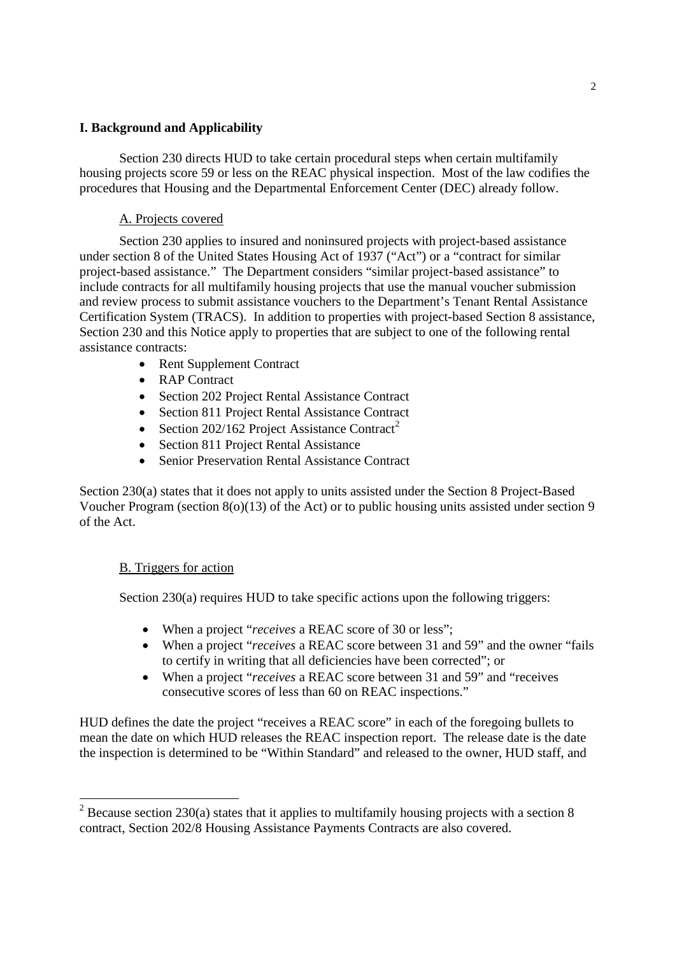## **I. Background and Applicability**

Section 230 directs HUD to take certain procedural steps when certain multifamily housing projects score 59 or less on the REAC physical inspection. Most of the law codifies the procedures that Housing and the Departmental Enforcement Center (DEC) already follow.

# A. Projects covered

Section 230 applies to insured and noninsured projects with project-based assistance under section 8 of the United States Housing Act of 1937 ("Act") or a "contract for similar project-based assistance." The Department considers "similar project-based assistance" to include contracts for all multifamily housing projects that use the manual voucher submission and review process to submit assistance vouchers to the Department's Tenant Rental Assistance Certification System (TRACS). In addition to properties with project-based Section 8 assistance, Section 230 and this Notice apply to properties that are subject to one of the following rental assistance contracts:

- Rent Supplement Contract
- RAP Contract
- Section 202 Project Rental Assistance Contract
- Section 811 Project Rental Assistance Contract
- Section 202/162 Project Assistance Contract<sup>2</sup>
- Section 811 Project Rental Assistance
- Senior Preservation Rental Assistance Contract

Section 230(a) states that it does not apply to units assisted under the Section 8 Project-Based Voucher Program (section 8(o)(13) of the Act) or to public housing units assisted under section 9 of the Act.

## B. Triggers for action

Section 230(a) requires HUD to take specific actions upon the following triggers:

- When a project "*receives* a REAC score of 30 or less";
- When a project "*receives* a REAC score between 31 and 59" and the owner "fails to certify in writing that all deficiencies have been corrected"; or
- When a project "*receives* a REAC score between 31 and 59" and "receives consecutive scores of less than 60 on REAC inspections."

HUD defines the date the project "receives a REAC score" in each of the foregoing bullets to mean the date on which HUD releases the REAC inspection report. The release date is the date the inspection is determined to be "Within Standard" and released to the owner, HUD staff, and

 $2$  Because section 230(a) states that it applies to multifamily housing projects with a section 8 contract, Section 202/8 Housing Assistance Payments Contracts are also covered.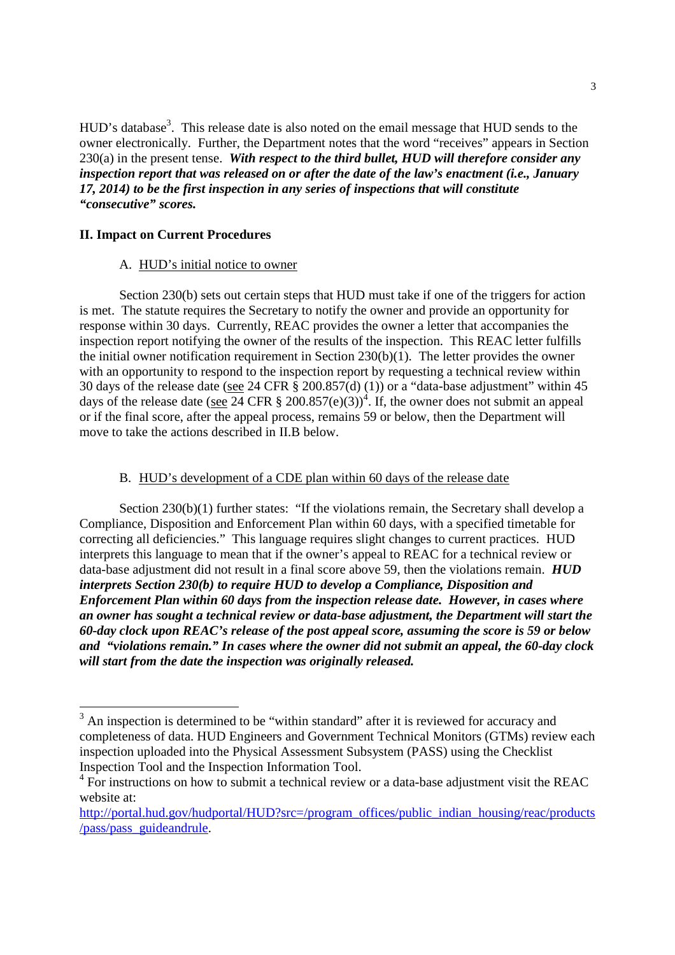HUD's database<sup>3</sup>. This release date is also noted on the email message that HUD sends to the owner electronically. Further, the Department notes that the word "receives" appears in Section 230(a) in the present tense. *With respect to the third bullet, HUD will therefore consider any inspection report that was released on or after the date of the law's enactment (i.e., January 17, 2014) to be the first inspection in any series of inspections that will constitute "consecutive" scores.*

## **II. Impact on Current Procedures**

#### A. HUD's initial notice to owner

Section 230(b) sets out certain steps that HUD must take if one of the triggers for action is met. The statute requires the Secretary to notify the owner and provide an opportunity for response within 30 days. Currently, REAC provides the owner a letter that accompanies the inspection report notifying the owner of the results of the inspection. This REAC letter fulfills the initial owner notification requirement in Section 230(b)(1). The letter provides the owner with an opportunity to respond to the inspection report by requesting a technical review within 30 days of the release date (see 24 CFR § 200.857(d) (1)) or a "data-base adjustment" within 45 days of the release date (see  $\overline{24}$  CFR § 200.857(e)(3))<sup>4</sup>. If, the owner does not submit an appeal or if the final score, after the appeal process, remains 59 or below, then the Department will move to take the actions described in II.B below.

## B. HUD's development of a CDE plan within 60 days of the release date

Section 230(b)(1) further states: "If the violations remain, the Secretary shall develop a Compliance, Disposition and Enforcement Plan within 60 days, with a specified timetable for correcting all deficiencies." This language requires slight changes to current practices. HUD interprets this language to mean that if the owner's appeal to REAC for a technical review or data-base adjustment did not result in a final score above 59, then the violations remain. *HUD interprets Section 230(b) to require HUD to develop a Compliance, Disposition and Enforcement Plan within 60 days from the inspection release date. However, in cases where an owner has sought a technical review or data-base adjustment, the Department will start the 60-day clock upon REAC's release of the post appeal score, assuming the score is 59 or below and "violations remain." In cases where the owner did not submit an appeal, the 60-day clock will start from the date the inspection was originally released.*

<sup>&</sup>lt;sup>3</sup> An inspection is determined to be "within standard" after it is reviewed for accuracy and completeness of data. HUD Engineers and Government Technical Monitors (GTMs) review each inspection uploaded into the Physical Assessment Subsystem (PASS) using the Checklist Inspection Tool and the Inspection Information Tool.

 $4\overline{P}$  For instructions on how to submit a technical review or a data-base adjustment visit the REAC website at:

http://portal.hud.gov/hudportal/HUD?src=/program\_offices/public\_indian\_housing/reac/products /pass/pass\_guideandrule.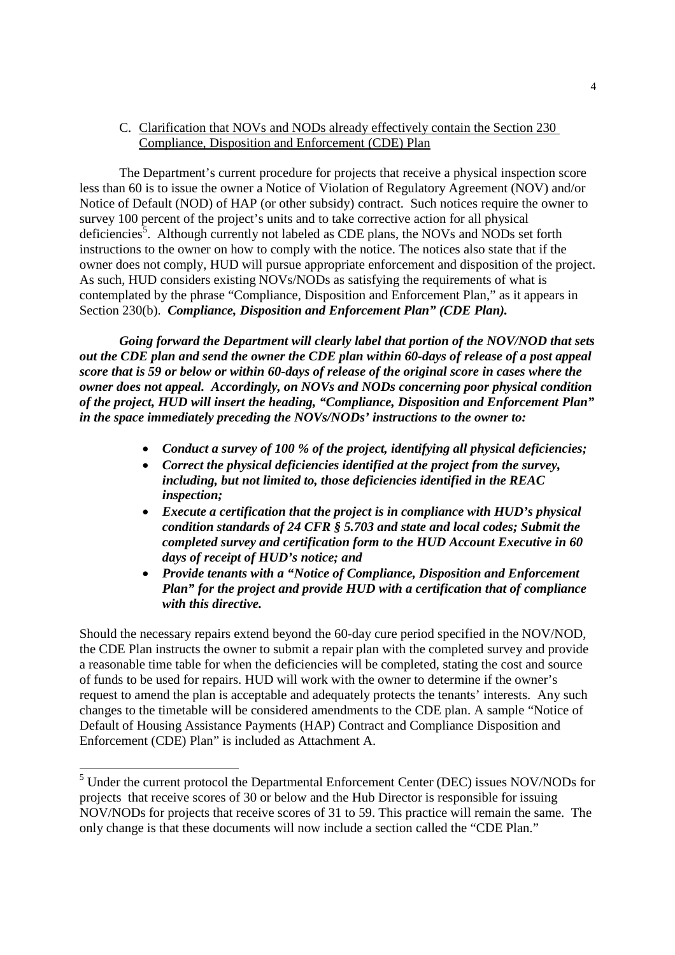## C. Clarification that NOVs and NODs already effectively contain the Section 230 Compliance, Disposition and Enforcement (CDE) Plan

The Department's current procedure for projects that receive a physical inspection score less than 60 is to issue the owner a Notice of Violation of Regulatory Agreement (NOV) and/or Notice of Default (NOD) of HAP (or other subsidy) contract. Such notices require the owner to survey 100 percent of the project's units and to take corrective action for all physical deficiencies<sup>5</sup>. Although currently not labeled as CDE plans, the NOVs and NODs set forth instructions to the owner on how to comply with the notice. The notices also state that if the owner does not comply, HUD will pursue appropriate enforcement and disposition of the project. As such, HUD considers existing NOVs/NODs as satisfying the requirements of what is contemplated by the phrase "Compliance, Disposition and Enforcement Plan," as it appears in Section 230(b). *Compliance, Disposition and Enforcement Plan" (CDE Plan).*

*Going forward the Department will clearly label that portion of the NOV/NOD that sets out the CDE plan and send the owner the CDE plan within 60-days of release of a post appeal score that is 59 or below or within 60-days of release of the original score in cases where the owner does not appeal. Accordingly, on NOVs and NODs concerning poor physical condition of the project, HUD will insert the heading, "Compliance, Disposition and Enforcement Plan" in the space immediately preceding the NOVs/NODs' instructions to the owner to:*

- *Conduct a survey of 100 % of the project, identifying all physical deficiencies;*
- *Correct the physical deficiencies identified at the project from the survey, including, but not limited to, those deficiencies identified in the REAC inspection;*
- *Execute a certification that the project is in compliance with HUD's physical condition standards of 24 CFR § 5.703 and state and local codes; Submit the completed survey and certification form to the HUD Account Executive in 60 days of receipt of HUD's notice; and*
- *Provide tenants with a "Notice of Compliance, Disposition and Enforcement Plan" for the project and provide HUD with a certification that of compliance with this directive.*

Should the necessary repairs extend beyond the 60-day cure period specified in the NOV/NOD, the CDE Plan instructs the owner to submit a repair plan with the completed survey and provide a reasonable time table for when the deficiencies will be completed, stating the cost and source of funds to be used for repairs. HUD will work with the owner to determine if the owner's request to amend the plan is acceptable and adequately protects the tenants' interests. Any such changes to the timetable will be considered amendments to the CDE plan. A sample "Notice of Default of Housing Assistance Payments (HAP) Contract and Compliance Disposition and Enforcement (CDE) Plan" is included as Attachment A.

<sup>&</sup>lt;sup>5</sup> Under the current protocol the Departmental Enforcement Center (DEC) issues NOV/NODs for projects that receive scores of 30 or below and the Hub Director is responsible for issuing NOV/NODs for projects that receive scores of 31 to 59. This practice will remain the same. The only change is that these documents will now include a section called the "CDE Plan."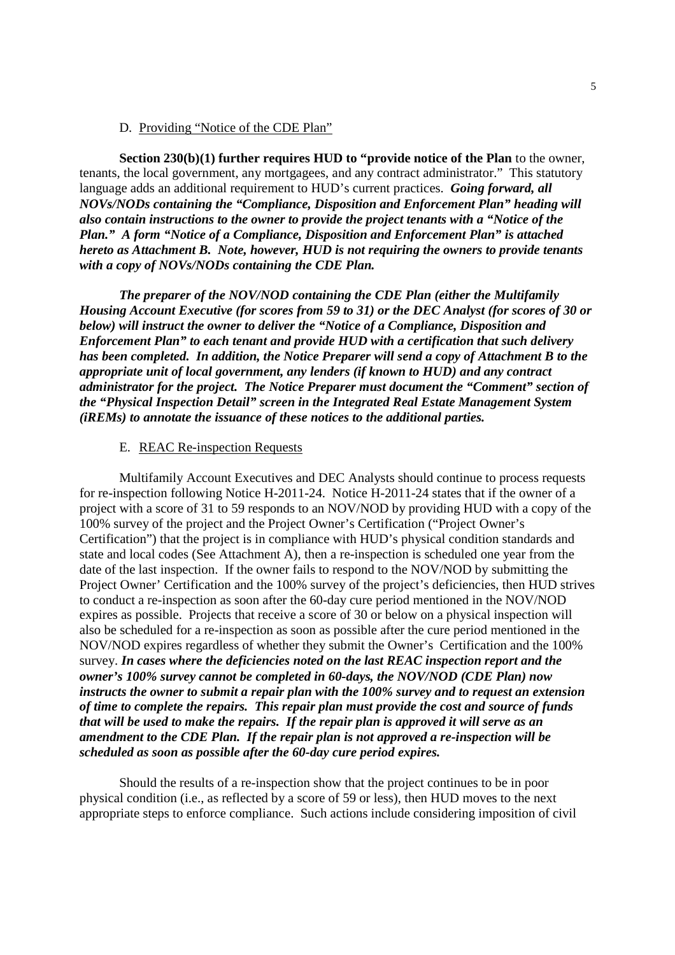#### D. Providing "Notice of the CDE Plan"

**Section 230(b)(1) further requires HUD to "provide notice of the Plan** to the owner, tenants, the local government, any mortgagees, and any contract administrator." This statutory language adds an additional requirement to HUD's current practices. *Going forward, all NOVs/NODs containing the "Compliance, Disposition and Enforcement Plan" heading will also contain instructions to the owner to provide the project tenants with a "Notice of the Plan." A form "Notice of a Compliance, Disposition and Enforcement Plan" is attached hereto as Attachment B. Note, however, HUD is not requiring the owners to provide tenants with a copy of NOVs/NODs containing the CDE Plan.*

*The preparer of the NOV/NOD containing the CDE Plan (either the Multifamily Housing Account Executive (for scores from 59 to 31) or the DEC Analyst (for scores of 30 or below) will instruct the owner to deliver the "Notice of a Compliance, Disposition and Enforcement Plan" to each tenant and provide HUD with a certification that such delivery has been completed. In addition, the Notice Preparer will send a copy of Attachment B to the appropriate unit of local government, any lenders (if known to HUD) and any contract administrator for the project. The Notice Preparer must document the "Comment" section of the "Physical Inspection Detail" screen in the Integrated Real Estate Management System (iREMs) to annotate the issuance of these notices to the additional parties.*

### E. REAC Re-inspection Requests

Multifamily Account Executives and DEC Analysts should continue to process requests for re-inspection following Notice H-2011-24. Notice H-2011-24 states that if the owner of a project with a score of 31 to 59 responds to an NOV/NOD by providing HUD with a copy of the 100% survey of the project and the Project Owner's Certification ("Project Owner's Certification") that the project is in compliance with HUD's physical condition standards and state and local codes (See Attachment A), then a re-inspection is scheduled one year from the date of the last inspection. If the owner fails to respond to the NOV/NOD by submitting the Project Owner' Certification and the 100% survey of the project's deficiencies, then HUD strives to conduct a re-inspection as soon after the 60-day cure period mentioned in the NOV/NOD expires as possible. Projects that receive a score of 30 or below on a physical inspection will also be scheduled for a re-inspection as soon as possible after the cure period mentioned in the NOV/NOD expires regardless of whether they submit the Owner's Certification and the 100% survey. *In cases where the deficiencies noted on the last REAC inspection report and the owner's 100% survey cannot be completed in 60-days, the NOV/NOD (CDE Plan) now instructs the owner to submit a repair plan with the 100% survey and to request an extension of time to complete the repairs. This repair plan must provide the cost and source of funds that will be used to make the repairs. If the repair plan is approved it will serve as an amendment to the CDE Plan. If the repair plan is not approved a re-inspection will be scheduled as soon as possible after the 60-day cure period expires.*

Should the results of a re-inspection show that the project continues to be in poor physical condition (i.e., as reflected by a score of 59 or less), then HUD moves to the next appropriate steps to enforce compliance. Such actions include considering imposition of civil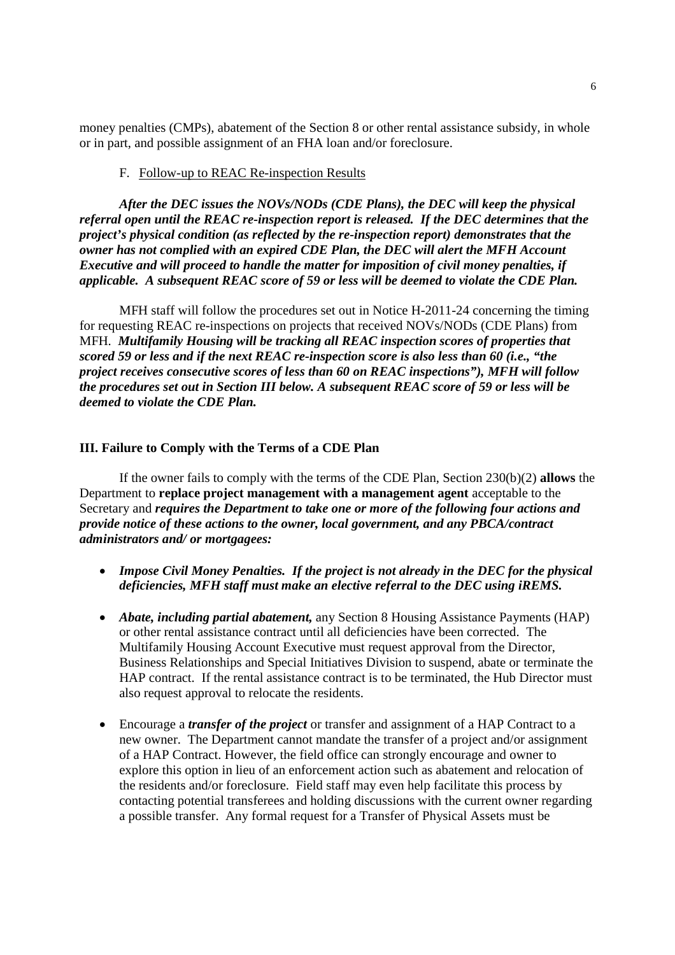money penalties (CMPs), abatement of the Section 8 or other rental assistance subsidy, in whole or in part, and possible assignment of an FHA loan and/or foreclosure.

#### F. Follow-up to REAC Re-inspection Results

*After the DEC issues the NOVs/NODs (CDE Plans), the DEC will keep the physical referral open until the REAC re-inspection report is released. If the DEC determines that the project's physical condition (as reflected by the re-inspection report) demonstrates that the owner has not complied with an expired CDE Plan, the DEC will alert the MFH Account Executive and will proceed to handle the matter for imposition of civil money penalties, if applicable. A subsequent REAC score of 59 or less will be deemed to violate the CDE Plan.*

MFH staff will follow the procedures set out in Notice H-2011-24 concerning the timing for requesting REAC re-inspections on projects that received NOVs/NODs (CDE Plans) from MFH. *Multifamily Housing will be tracking all REAC inspection scores of properties that scored 59 or less and if the next REAC re-inspection score is also less than 60 (i.e., "the project receives consecutive scores of less than 60 on REAC inspections"), MFH will follow the procedures set out in Section III below. A subsequent REAC score of 59 or less will be deemed to violate the CDE Plan.*

#### **III. Failure to Comply with the Terms of a CDE Plan**

If the owner fails to comply with the terms of the CDE Plan, Section 230(b)(2) **allows** the Department to **replace project management with a management agent** acceptable to the Secretary and *requires the Department to take one or more of the following four actions and provide notice of these actions to the owner, local government, and any PBCA/contract administrators and/ or mortgagees:*

- *Impose Civil Money Penalties. If the project is not already in the DEC for the physical deficiencies, MFH staff must make an elective referral to the DEC using iREMS.*
- *Abate, including partial abatement,* any Section 8 Housing Assistance Payments (HAP) or other rental assistance contract until all deficiencies have been corrected. The Multifamily Housing Account Executive must request approval from the Director, Business Relationships and Special Initiatives Division to suspend, abate or terminate the HAP contract. If the rental assistance contract is to be terminated, the Hub Director must also request approval to relocate the residents.
- Encourage a *transfer of the project* or transfer and assignment of a HAP Contract to a new owner. The Department cannot mandate the transfer of a project and/or assignment of a HAP Contract. However, the field office can strongly encourage and owner to explore this option in lieu of an enforcement action such as abatement and relocation of the residents and/or foreclosure. Field staff may even help facilitate this process by contacting potential transferees and holding discussions with the current owner regarding a possible transfer. Any formal request for a Transfer of Physical Assets must be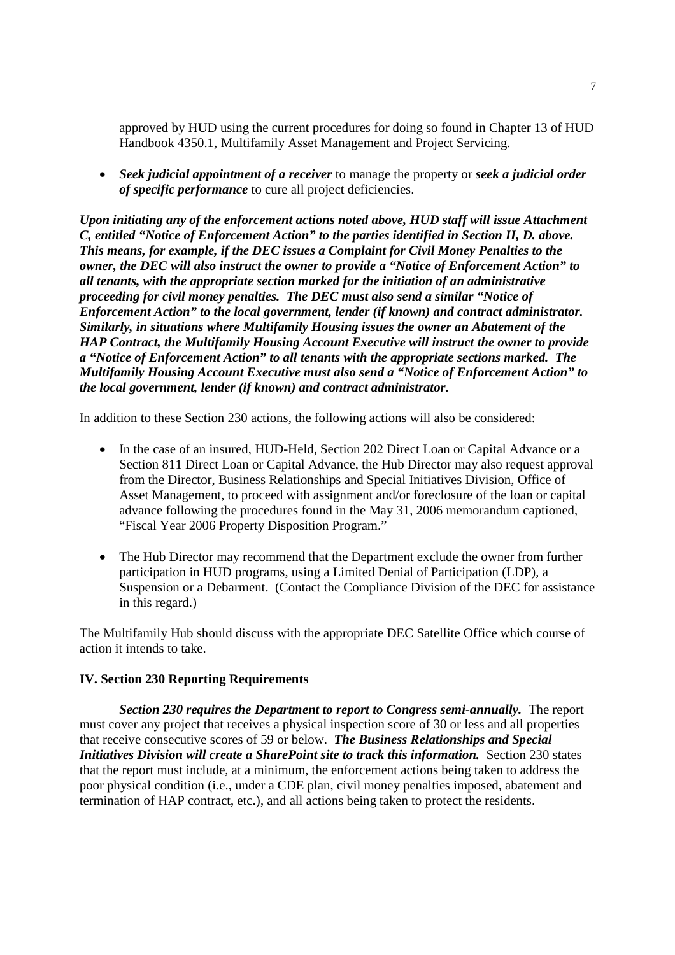approved by HUD using the current procedures for doing so found in Chapter 13 of HUD Handbook 4350.1, Multifamily Asset Management and Project Servicing.

 *Seek judicial appointment of a receiver* to manage the property or *seek a judicial order of specific performance* to cure all project deficiencies.

*Upon initiating any of the enforcement actions noted above, HUD staff will issue Attachment C, entitled "Notice of Enforcement Action" to the parties identified in Section II, D. above. This means, for example, if the DEC issues a Complaint for Civil Money Penalties to the owner, the DEC will also instruct the owner to provide a "Notice of Enforcement Action" to all tenants, with the appropriate section marked for the initiation of an administrative proceeding for civil money penalties. The DEC must also send a similar "Notice of Enforcement Action" to the local government, lender (if known) and contract administrator. Similarly, in situations where Multifamily Housing issues the owner an Abatement of the HAP Contract, the Multifamily Housing Account Executive will instruct the owner to provide a "Notice of Enforcement Action" to all tenants with the appropriate sections marked. The Multifamily Housing Account Executive must also send a "Notice of Enforcement Action" to the local government, lender (if known) and contract administrator.*

In addition to these Section 230 actions, the following actions will also be considered:

- In the case of an insured, HUD-Held, Section 202 Direct Loan or Capital Advance or a Section 811 Direct Loan or Capital Advance, the Hub Director may also request approval from the Director, Business Relationships and Special Initiatives Division, Office of Asset Management, to proceed with assignment and/or foreclosure of the loan or capital advance following the procedures found in the May 31, 2006 memorandum captioned, "Fiscal Year 2006 Property Disposition Program."
- The Hub Director may recommend that the Department exclude the owner from further participation in HUD programs, using a Limited Denial of Participation (LDP), a Suspension or a Debarment. (Contact the Compliance Division of the DEC for assistance in this regard.)

The Multifamily Hub should discuss with the appropriate DEC Satellite Office which course of action it intends to take.

## **IV. Section 230 Reporting Requirements**

*Section 230 requires the Department to report to Congress semi-annually.* The report must cover any project that receives a physical inspection score of 30 or less and all properties that receive consecutive scores of 59 or below. *The Business Relationships and Special Initiatives Division will create a SharePoint site to track this information.* Section 230 states that the report must include, at a minimum, the enforcement actions being taken to address the poor physical condition (i.e., under a CDE plan, civil money penalties imposed, abatement and termination of HAP contract, etc.), and all actions being taken to protect the residents.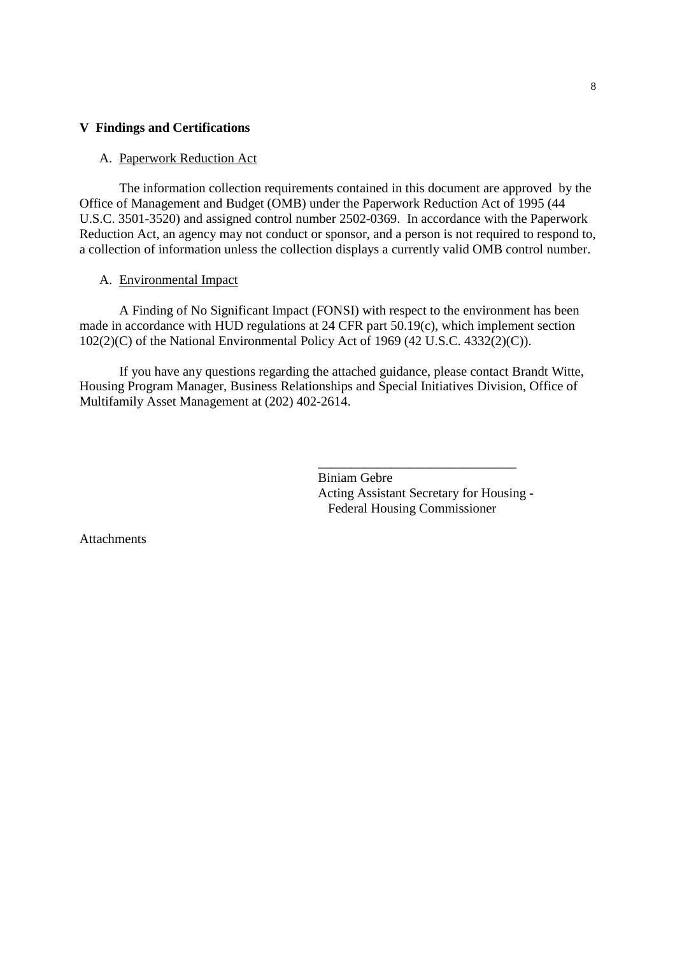#### **V Findings and Certifications**

#### A. Paperwork Reduction Act

The information collection requirements contained in this document are approved by the Office of Management and Budget (OMB) under the Paperwork Reduction Act of 1995 (44 U.S.C. 3501-3520) and assigned control number 2502-0369. In accordance with the Paperwork Reduction Act, an agency may not conduct or sponsor, and a person is not required to respond to, a collection of information unless the collection displays a currently valid OMB control number.

#### A. Environmental Impact

A Finding of No Significant Impact (FONSI) with respect to the environment has been made in accordance with HUD regulations at 24 CFR part 50.19(c), which implement section 102(2)(C) of the National Environmental Policy Act of 1969 (42 U.S.C. 4332(2)(C)).

If you have any questions regarding the attached guidance, please contact Brandt Witte, Housing Program Manager, Business Relationships and Special Initiatives Division, Office of Multifamily Asset Management at (202) 402-2614.

> Biniam Gebre Acting Assistant Secretary for Housing - Federal Housing Commissioner

\_\_\_\_\_\_\_\_\_\_\_\_\_\_\_\_\_\_\_\_\_\_\_\_\_\_\_\_\_\_

Attachments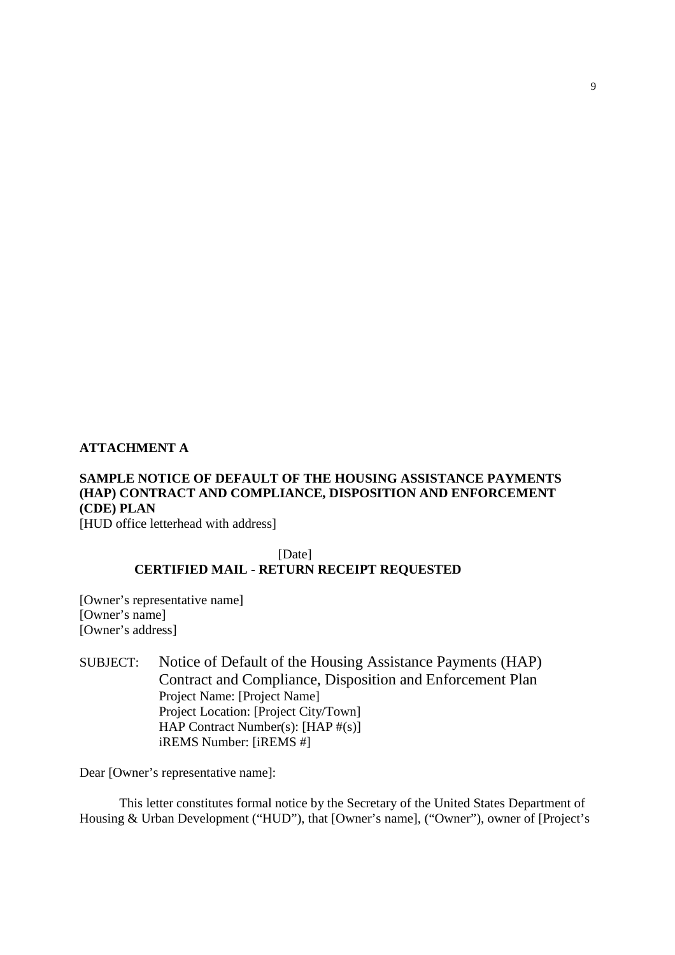#### **ATTACHMENT A**

# **SAMPLE NOTICE OF DEFAULT OF THE HOUSING ASSISTANCE PAYMENTS (HAP) CONTRACT AND COMPLIANCE, DISPOSITION AND ENFORCEMENT (CDE) PLAN**

[HUD office letterhead with address]

# [Date] **CERTIFIED MAIL - RETURN RECEIPT REQUESTED**

[Owner's representative name] [Owner's name] [Owner's address]

SUBJECT: Notice of Default of the Housing Assistance Payments (HAP) Contract and Compliance, Disposition and Enforcement Plan Project Name: [Project Name] Project Location: [Project City/Town] HAP Contract Number(s): [HAP #(s)] iREMS Number: [iREMS #]

Dear [Owner's representative name]:

This letter constitutes formal notice by the Secretary of the United States Department of Housing & Urban Development ("HUD"), that [Owner's name], ("Owner"), owner of [Project's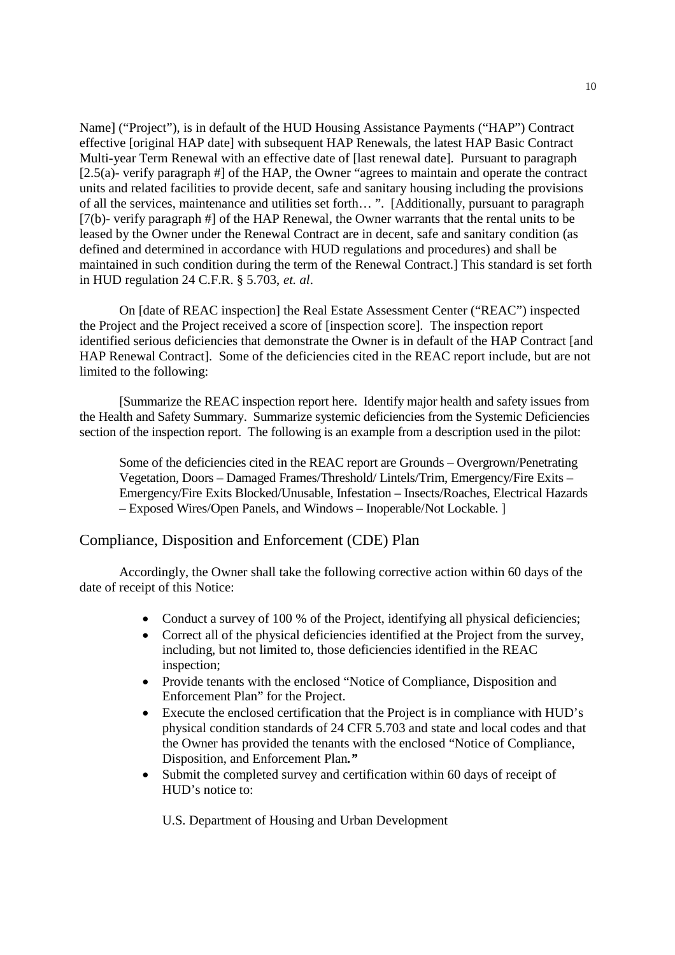Name] ("Project"), is in default of the HUD Housing Assistance Payments ("HAP") Contract effective [original HAP date] with subsequent HAP Renewals, the latest HAP Basic Contract Multi-year Term Renewal with an effective date of [last renewal date]. Pursuant to paragraph [2.5(a)- verify paragraph #] of the HAP, the Owner "agrees to maintain and operate the contract units and related facilities to provide decent, safe and sanitary housing including the provisions of all the services, maintenance and utilities set forth… ". [Additionally, pursuant to paragraph [7(b)- verify paragraph #] of the HAP Renewal, the Owner warrants that the rental units to be leased by the Owner under the Renewal Contract are in decent, safe and sanitary condition (as defined and determined in accordance with HUD regulations and procedures) and shall be maintained in such condition during the term of the Renewal Contract.] This standard is set forth in HUD regulation 24 C.F.R. § 5.703, *et. al*.

On [date of REAC inspection] the Real Estate Assessment Center ("REAC") inspected the Project and the Project received a score of [inspection score]. The inspection report identified serious deficiencies that demonstrate the Owner is in default of the HAP Contract [and HAP Renewal Contract]. Some of the deficiencies cited in the REAC report include, but are not limited to the following:

[Summarize the REAC inspection report here. Identify major health and safety issues from the Health and Safety Summary. Summarize systemic deficiencies from the Systemic Deficiencies section of the inspection report. The following is an example from a description used in the pilot:

Some of the deficiencies cited in the REAC report are Grounds – Overgrown/Penetrating Vegetation, Doors – Damaged Frames/Threshold/ Lintels/Trim, Emergency/Fire Exits – Emergency/Fire Exits Blocked/Unusable, Infestation – Insects/Roaches, Electrical Hazards – Exposed Wires/Open Panels, and Windows – Inoperable/Not Lockable. ]

## Compliance, Disposition and Enforcement (CDE) Plan

Accordingly, the Owner shall take the following corrective action within 60 days of the date of receipt of this Notice:

- Conduct a survey of 100 % of the Project, identifying all physical deficiencies;
- Correct all of the physical deficiencies identified at the Project from the survey, including, but not limited to, those deficiencies identified in the REAC inspection;
- Provide tenants with the enclosed "Notice of Compliance, Disposition and Enforcement Plan" for the Project.
- Execute the enclosed certification that the Project is in compliance with HUD's physical condition standards of 24 CFR 5.703 and state and local codes and that the Owner has provided the tenants with the enclosed "Notice of Compliance, Disposition, and Enforcement Plan*."*
- Submit the completed survey and certification within 60 days of receipt of HUD's notice to:

U.S. Department of Housing and Urban Development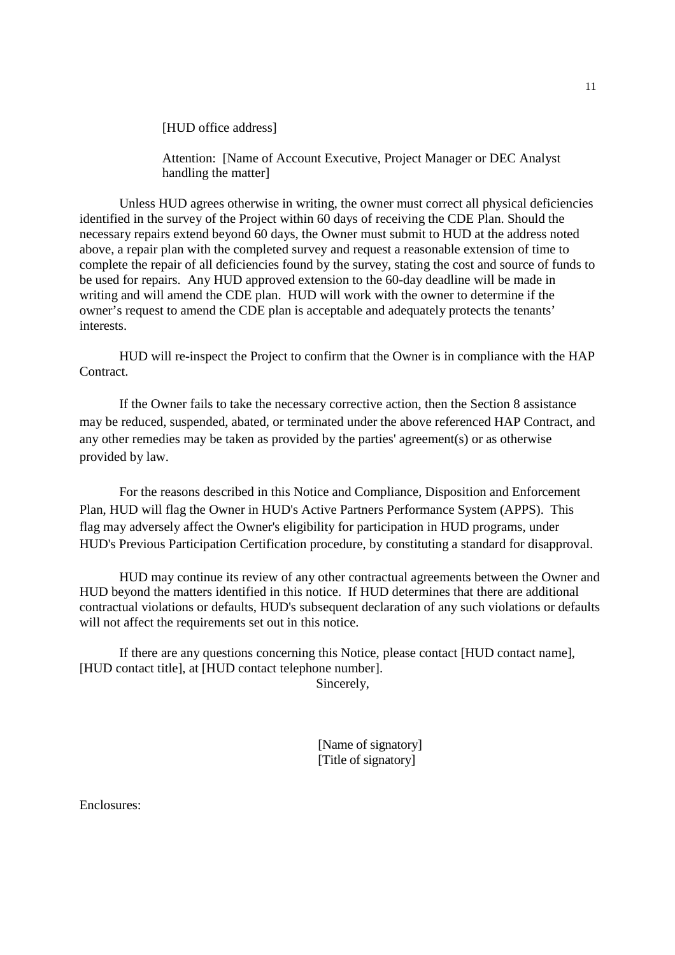[HUD office address]

Attention: [Name of Account Executive, Project Manager or DEC Analyst handling the matter]

Unless HUD agrees otherwise in writing, the owner must correct all physical deficiencies identified in the survey of the Project within 60 days of receiving the CDE Plan. Should the necessary repairs extend beyond 60 days, the Owner must submit to HUD at the address noted above, a repair plan with the completed survey and request a reasonable extension of time to complete the repair of all deficiencies found by the survey, stating the cost and source of funds to be used for repairs. Any HUD approved extension to the 60-day deadline will be made in writing and will amend the CDE plan. HUD will work with the owner to determine if the owner's request to amend the CDE plan is acceptable and adequately protects the tenants' interests.

HUD will re-inspect the Project to confirm that the Owner is in compliance with the HAP Contract.

If the Owner fails to take the necessary corrective action, then the Section 8 assistance may be reduced, suspended, abated, or terminated under the above referenced HAP Contract, and any other remedies may be taken as provided by the parties' agreement(s) or as otherwise provided by law.

For the reasons described in this Notice and Compliance, Disposition and Enforcement Plan, HUD will flag the Owner in HUD's Active Partners Performance System (APPS). This flag may adversely affect the Owner's eligibility for participation in HUD programs, under HUD's Previous Participation Certification procedure, by constituting a standard for disapproval.

HUD may continue its review of any other contractual agreements between the Owner and HUD beyond the matters identified in this notice. If HUD determines that there are additional contractual violations or defaults, HUD's subsequent declaration of any such violations or defaults will not affect the requirements set out in this notice.

If there are any questions concerning this Notice, please contact [HUD contact name], [HUD contact title], at [HUD contact telephone number].

Sincerely,

[Name of signatory] [Title of signatory]

Enclosures: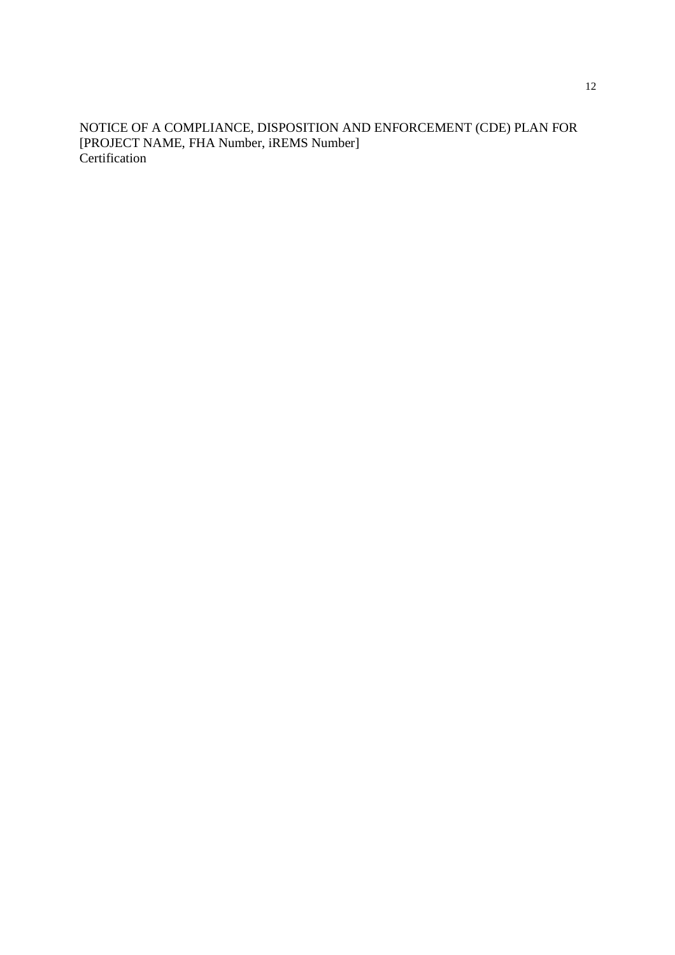NOTICE OF A COMPLIANCE, DISPOSITION AND ENFORCEMENT (CDE) PLAN FOR [PROJECT NAME, FHA Number, iREMS Number] Certification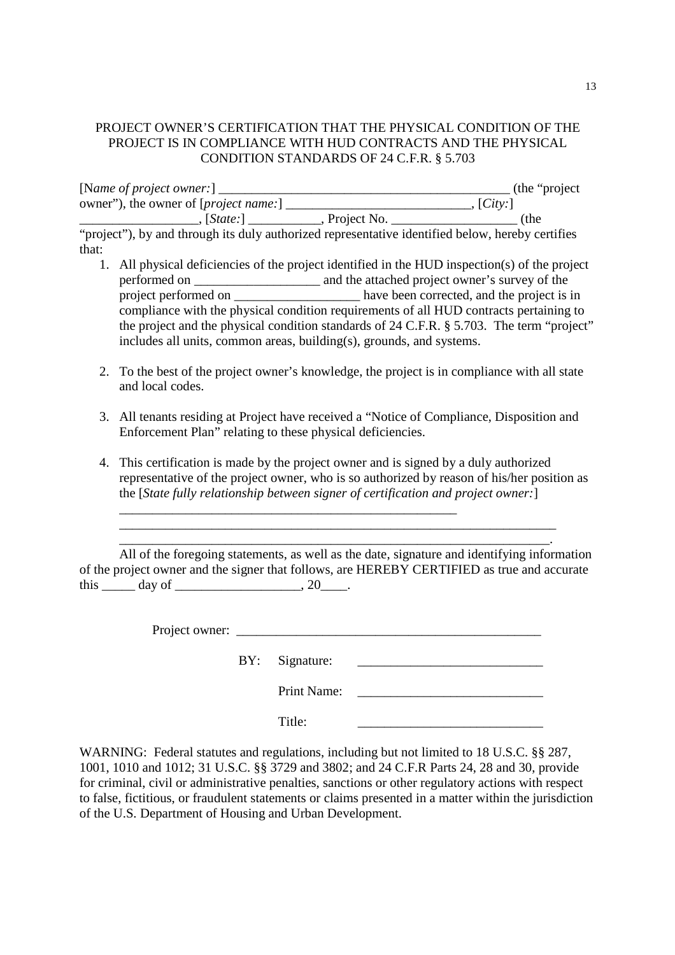## PROJECT OWNER'S CERTIFICATION THAT THE PHYSICAL CONDITION OF THE PROJECT IS IN COMPLIANCE WITH HUD CONTRACTS AND THE PHYSICAL CONDITION STANDARDS OF 24 C.F.R. § 5.703

| [Name of project owner:]                       |             | (the "project") |
|------------------------------------------------|-------------|-----------------|
| owner"), the owner of [ <i>project name</i> :] |             | [City:]         |
| $\left  \text{State:} \right $                 | Project No. | (the            |

"project"), by and through its duly authorized representative identified below, hereby certifies that:

- 1. All physical deficiencies of the project identified in the HUD inspection(s) of the project performed on \_\_\_\_\_\_\_\_\_\_\_\_\_\_\_\_\_\_\_ and the attached project owner's survey of the project performed on \_\_\_\_\_\_\_\_\_\_\_\_\_\_\_\_\_\_\_\_\_\_\_ have been corrected, and the project is in compliance with the physical condition requirements of all HUD contracts pertaining to the project and the physical condition standards of 24 C.F.R. § 5.703. The term "project" includes all units, common areas, building(s), grounds, and systems.
- 2. To the best of the project owner's knowledge, the project is in compliance with all state and local codes.
- 3. All tenants residing at Project have received a "Notice of Compliance, Disposition and Enforcement Plan" relating to these physical deficiencies.
- 4. This certification is made by the project owner and is signed by a duly authorized representative of the project owner, who is so authorized by reason of his/her position as the [*State fully relationship between signer of certification and project owner:*]

All of the foregoing statements, as well as the date, signature and identifying information of the project owner and the signer that follows, are HEREBY CERTIFIED as true and accurate this \_\_\_\_\_\_ day of \_\_\_\_\_\_\_\_\_\_\_\_\_\_\_\_\_\_\_\_\_, 20\_\_\_\_.

\_\_\_\_\_\_\_\_\_\_\_\_\_\_\_\_\_\_\_\_\_\_\_\_\_\_\_\_\_\_\_\_\_\_\_\_\_\_\_\_\_\_\_\_\_\_\_\_\_\_\_\_\_\_\_\_\_\_\_\_\_\_\_\_\_\_ \_\_\_\_\_\_\_\_\_\_\_\_\_\_\_\_\_\_\_\_\_\_\_\_\_\_\_\_\_\_\_\_\_\_\_\_\_\_\_\_\_\_\_\_\_\_\_\_\_\_\_\_\_\_\_\_\_\_\_\_\_\_\_\_\_.

\_\_\_\_\_\_\_\_\_\_\_\_\_\_\_\_\_\_\_\_\_\_\_\_\_\_\_\_\_\_\_\_\_\_\_\_\_\_\_\_\_\_\_\_\_\_\_\_\_\_\_

Project owner: \_\_\_\_\_\_\_\_\_\_\_\_\_\_\_\_\_\_\_\_\_\_\_\_\_\_\_\_\_\_\_\_\_\_\_\_\_\_\_\_\_\_\_\_\_\_

BY: Signature: \_\_\_\_\_\_\_\_\_\_\_\_\_\_\_\_\_\_\_\_\_\_\_\_\_\_\_\_

Print Name: \_\_\_\_\_\_\_\_\_\_\_\_\_\_\_\_\_\_\_\_\_\_\_\_\_\_\_\_

Title:

WARNING: Federal statutes and regulations, including but not limited to 18 U.S.C. §§ 287, 1001, 1010 and 1012; 31 U.S.C. §§ 3729 and 3802; and 24 C.F.R Parts 24, 28 and 30, provide for criminal, civil or administrative penalties, sanctions or other regulatory actions with respect to false, fictitious, or fraudulent statements or claims presented in a matter within the jurisdiction of the U.S. Department of Housing and Urban Development.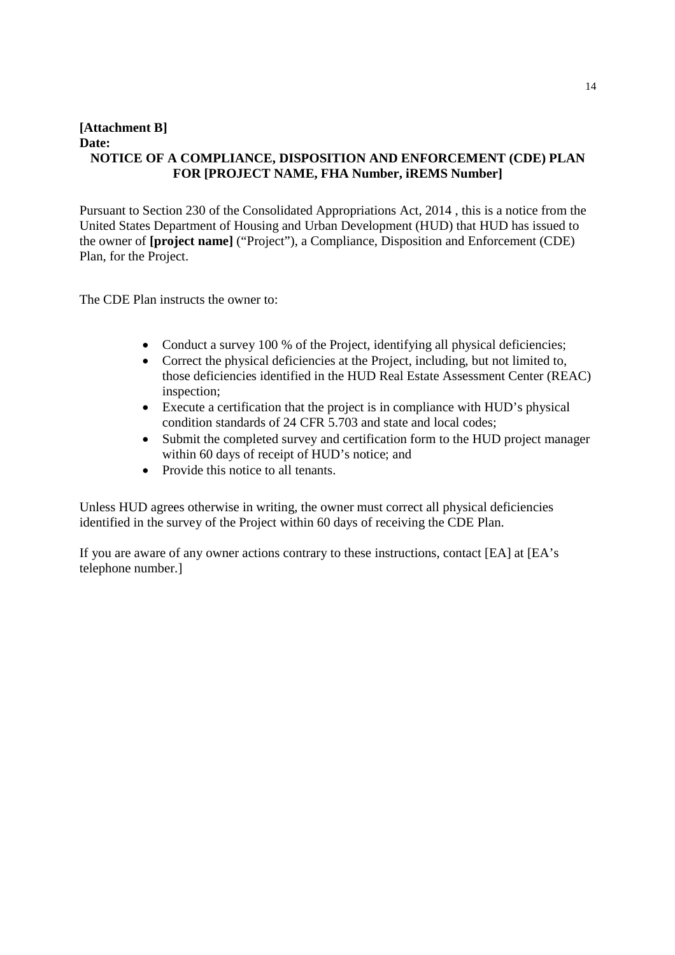## **[Attachment B] Date: NOTICE OF A COMPLIANCE, DISPOSITION AND ENFORCEMENT (CDE) PLAN FOR [PROJECT NAME, FHA Number, iREMS Number]**

Pursuant to Section 230 of the Consolidated Appropriations Act, 2014 , this is a notice from the United States Department of Housing and Urban Development (HUD) that HUD has issued to the owner of **[project name]** ("Project"), a Compliance, Disposition and Enforcement (CDE) Plan, for the Project.

The CDE Plan instructs the owner to:

- Conduct a survey 100 % of the Project, identifying all physical deficiencies;
- Correct the physical deficiencies at the Project, including, but not limited to, those deficiencies identified in the HUD Real Estate Assessment Center (REAC) inspection;
- Execute a certification that the project is in compliance with HUD's physical condition standards of 24 CFR 5.703 and state and local codes;
- Submit the completed survey and certification form to the HUD project manager within 60 days of receipt of HUD's notice; and
- Provide this notice to all tenants.

Unless HUD agrees otherwise in writing, the owner must correct all physical deficiencies identified in the survey of the Project within 60 days of receiving the CDE Plan.

If you are aware of any owner actions contrary to these instructions, contact [EA] at [EA's telephone number.]